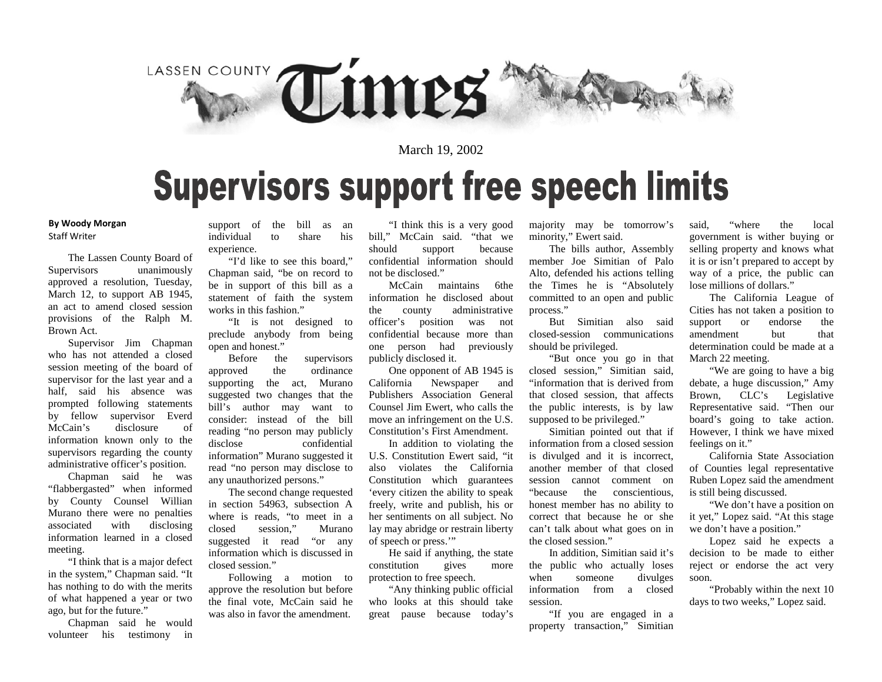

### March 19, 2002

### **Supervisors support free speech limits**

#### **By Woody Morgan** Staff Writer

The Lassen County Board of Supervisors unanimously approved a resolution, Tuesday, March 12, to support AB 1945, an act to amend closed session provisions of the Ralph M. Brown Act.

Supervisor Jim Chapman who has not attended a closed session meeting of the board of supervisor for the last year and a half, said his absence was prompted following statements by fellow supervisor Everd McCain's disclosure of information known only to the supervisors regarding the county administrative officer's position.

Chapman said he was "flabbergasted" when informed by County Counsel Willian Murano there were no penalties associated with disclosing information learned in a closed meeting.

"I think that is a major defect in the system," Chapman said. "It has nothing to do with the merits of what happened a year or two ago, but for the future."

Chapman said he would volunteer his testimony in

support of the bill as an individual to share his experience.

"I'd like to see this board," Chapman said, "be on record to be in support of this bill as a statement of faith the system works in this fashion."

"It is not designed to preclude anybody from being open and honest."

Before the supervisors approved the ordinance supporting the act, Murano suggested two changes that the bill's author may want to consider: instead of the bill reading "no person may publicly disclose confidential information" Murano suggested it read "no person may disclose to any unauthorized persons."

The second change requested in section 54963, subsection A where is reads, "to meet in a closed session," Murano suggested it read "or any information which is discussed in closed session."

Following a motion to approve the resolution but before the final vote, McCain said he was also in favor the amendment.

"I think this is a very good bill," McCain said. "that we should support because confidential information should not be disclosed."

McCain maintains 6the information he disclosed about the county administrative officer's position was not confidential because more than one person had previously publicly disclosed it.

One opponent of AB 1945 is California Newspaper and Publishers Association General Counsel Jim Ewert, who calls the move an infringement on the U.S. Constitution's First Amendment.

In addition to violating the U.S. Constitution Ewert said, "it also violates the California Constitution which guarantees 'every citizen the ability to speak freely, write and publish, his or her sentiments on all subject. No lay may abridge or restrain liberty of speech or press.'"

He said if anything, the state constitution gives more protection to free speech.

"Any thinking public official who looks at this should take great pause because today's majority may be tomorrow's minority," Ewert said.

The bills author, Assembly member Joe Simitian of Palo Alto, defended his actions telling the Times he is "Absolutely committed to an open and public process."

But Simitian also said closed-session communications should be privileged.

"But once you go in that closed session," Simitian said, "information that is derived from that closed session, that affects the public interests, is by law supposed to be privileged."

Simitian pointed out that if information from a closed session is divulged and it is incorrect, another member of that closed session cannot comment on "because the conscientious, honest member has no ability to correct that because he or she can't talk about what goes on in the closed session."

In addition, Simitian said it's the public who actually loses when someone divulges information from a closed session.

"If you are engaged in a property transaction," Simitian

said, "where the local government is wither buying or selling property and knows what it is or isn't prepared to accept by way of a price, the public can lose millions of dollars."

The California League of Cities has not taken a position to support or endorse the amendment but that determination could be made at a March 22 meeting.

"We are going to have a big debate, a huge discussion," Amy Brown, CLC's Legislative Representative said. "Then our board's going to take action. However, I think we have mixed feelings on it."

California State Association of Counties legal representative Ruben Lopez said the amendment is still being discussed.

"We don't have a position on it yet," Lopez said. "At this stage we don't have a position."

Lopez said he expects a decision to be made to either reject or endorse the act very soon.

"Probably within the next 10 days to two weeks," Lopez said.